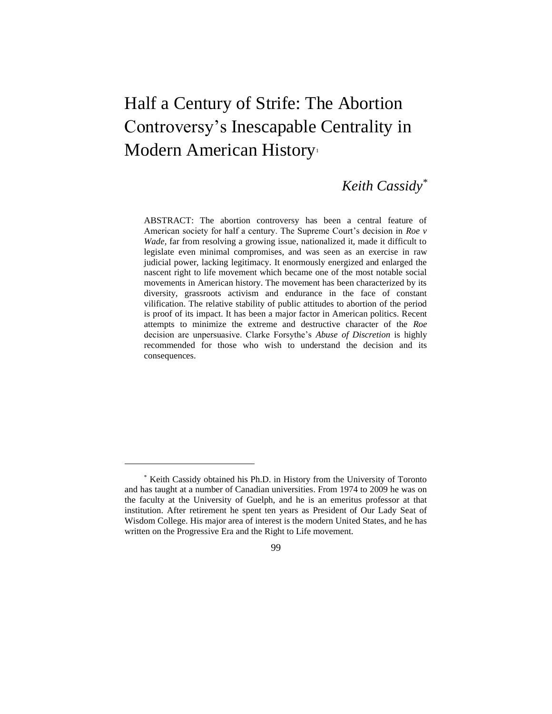# Half a Century of Strife: The Abortion Controversy's Inescapable Centrality in Modern American History<sup>1</sup>

# *Keith Cassidy\**

ABSTRACT: The abortion controversy has been a central feature of American society for half a century. The Supreme Court's decision in *Roe v Wade*, far from resolving a growing issue, nationalized it, made it difficult to legislate even minimal compromises, and was seen as an exercise in raw judicial power, lacking legitimacy. It enormously energized and enlarged the nascent right to life movement which became one of the most notable social movements in American history. The movement has been characterized by its diversity, grassroots activism and endurance in the face of constant vilification. The relative stability of public attitudes to abortion of the period is proof of its impact. It has been a major factor in American politics. Recent attempts to minimize the extreme and destructive character of the *Roe* decision are unpersuasive. Clarke Forsythe's *Abuse of Discretion* is highly recommended for those who wish to understand the decision and its consequences.

99

<sup>\*</sup> Keith Cassidy obtained his Ph.D. in History from the University of Toronto and has taught at a number of Canadian universities. From 1974 to 2009 he was on the faculty at the University of Guelph, and he is an emeritus professor at that institution. After retirement he spent ten years as President of Our Lady Seat of Wisdom College. His major area of interest is the modern United States, and he has written on the Progressive Era and the Right to Life movement.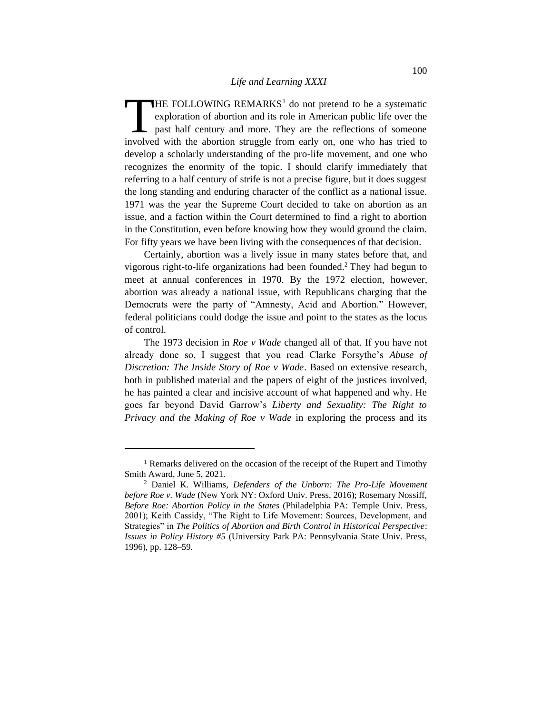HE FOLLOWING REMARKS<sup>1</sup> do not pretend to be a systematic exploration of abortion and its role in American public life over the past half century and more. They are the reflections of someone THE FOLLOWING REMARKS<sup>1</sup> do not pretend to be a systematic exploration of abortion and its role in American public life over the past half century and more. They are the reflections of someone involved with the abortion st develop a scholarly understanding of the pro-life movement, and one who recognizes the enormity of the topic. I should clarify immediately that referring to a half century of strife is not a precise figure, but it does suggest the long standing and enduring character of the conflict as a national issue. 1971 was the year the Supreme Court decided to take on abortion as an issue, and a faction within the Court determined to find a right to abortion in the Constitution, even before knowing how they would ground the claim. For fifty years we have been living with the consequences of that decision.

Certainly, abortion was a lively issue in many states before that, and vigorous right-to-life organizations had been founded.<sup>2</sup> They had begun to meet at annual conferences in 1970. By the 1972 election, however, abortion was already a national issue, with Republicans charging that the Democrats were the party of "Amnesty, Acid and Abortion." However, federal politicians could dodge the issue and point to the states as the locus of control.

The 1973 decision in *Roe v Wade* changed all of that. If you have not already done so, I suggest that you read Clarke Forsythe's *Abuse of Discretion: The Inside Story of Roe v Wade*. Based on extensive research, both in published material and the papers of eight of the justices involved, he has painted a clear and incisive account of what happened and why. He goes far beyond David Garrow's *Liberty and Sexuality: The Right to Privacy and the Making of Roe v Wade* in exploring the process and its

<sup>&</sup>lt;sup>1</sup> Remarks delivered on the occasion of the receipt of the Rupert and Timothy Smith Award, June 5, 2021.

<sup>2</sup> Daniel K. Williams, *Defenders of the Unborn: The Pro-Life Movement before Roe v. Wade* (New York NY: Oxford Univ. Press, 2016); Rosemary Nossiff, *Before Roe: Abortion Policy in the States* (Philadelphia PA: Temple Univ. Press, 2001); Keith Cassidy, "The Right to Life Movement: Sources, Development, and Strategies" in *The Politics of Abortion and Birth Control in Historical Perspective*: *Issues in Policy History #5* (University Park PA: Pennsylvania State Univ. Press, 1996), pp. 128–59.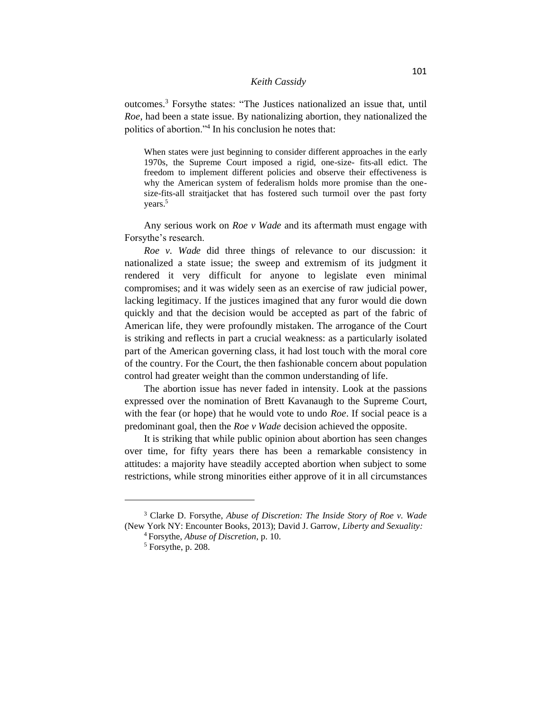outcomes.<sup>3</sup> Forsythe states: "The Justices nationalized an issue that, until *Roe*, had been a state issue. By nationalizing abortion, they nationalized the politics of abortion."<sup>4</sup> In his conclusion he notes that:

When states were just beginning to consider different approaches in the early 1970s, the Supreme Court imposed a rigid, one-size- fits-all edict. The freedom to implement different policies and observe their effectiveness is why the American system of federalism holds more promise than the onesize-fits-all straitjacket that has fostered such turmoil over the past forty years.<sup>5</sup>

Any serious work on *Roe v Wade* and its aftermath must engage with Forsythe's research.

*Roe v. Wade* did three things of relevance to our discussion: it nationalized a state issue; the sweep and extremism of its judgment it rendered it very difficult for anyone to legislate even minimal compromises; and it was widely seen as an exercise of raw judicial power, lacking legitimacy. If the justices imagined that any furor would die down quickly and that the decision would be accepted as part of the fabric of American life, they were profoundly mistaken. The arrogance of the Court is striking and reflects in part a crucial weakness: as a particularly isolated part of the American governing class, it had lost touch with the moral core of the country. For the Court, the then fashionable concern about population control had greater weight than the common understanding of life.

The abortion issue has never faded in intensity. Look at the passions expressed over the nomination of Brett Kavanaugh to the Supreme Court, with the fear (or hope) that he would vote to undo *Roe*. If social peace is a predominant goal, then the *Roe v Wade* decision achieved the opposite.

It is striking that while public opinion about abortion has seen changes over time, for fifty years there has been a remarkable consistency in attitudes: a majority have steadily accepted abortion when subject to some restrictions, while strong minorities either approve of it in all circumstances

<sup>3</sup> Clarke D. Forsythe, *Abuse of Discretion: The Inside Story of Roe v. Wade* (New York NY: Encounter Books, 2013); David J. Garrow, *Liberty and Sexuality:* 

<sup>4</sup>Forsythe, *Abuse of Discretion*, p. 10.

 $<sup>5</sup>$  Forsythe, p. 208.</sup>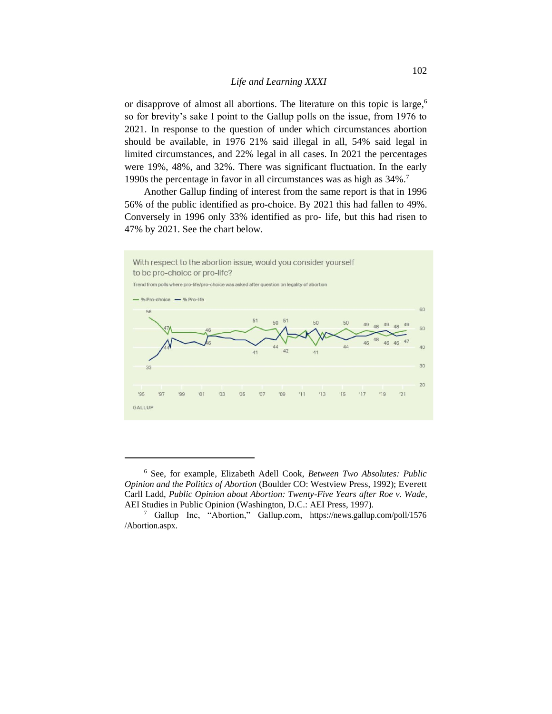or disapprove of almost all abortions. The literature on this topic is large,<sup>6</sup> so for brevity's sake I point to the Gallup polls on the issue, from 1976 to 2021. In response to the question of under which circumstances abortion should be available, in 1976 21% said illegal in all, 54% said legal in limited circumstances, and 22% legal in all cases. In 2021 the percentages were 19%, 48%, and 32%. There was significant fluctuation. In the early 1990s the percentage in favor in all circumstances was as high as 34%.<sup>7</sup>

Another Gallup finding of interest from the same report is that in 1996 56% of the public identified as pro-choice. By 2021 this had fallen to 49%. Conversely in 1996 only 33% identified as pro- life, but this had risen to 47% by 2021. See the chart below.



<sup>6</sup> See, for example, Elizabeth Adell Cook, *Between Two Absolutes: Public Opinion and the Politics of Abortion* (Boulder CO: Westview Press, 1992); Everett Carll Ladd, *Public Opinion about Abortion: Twenty-Five Years after Roe v. Wade*, AEI Studies in Public Opinion (Washington, D.C.: AEI Press, 1997).

<sup>7</sup> Gallup Inc, "Abortion," Gallup.com, https://news.gallup.com/poll/1576 /Abortion.aspx.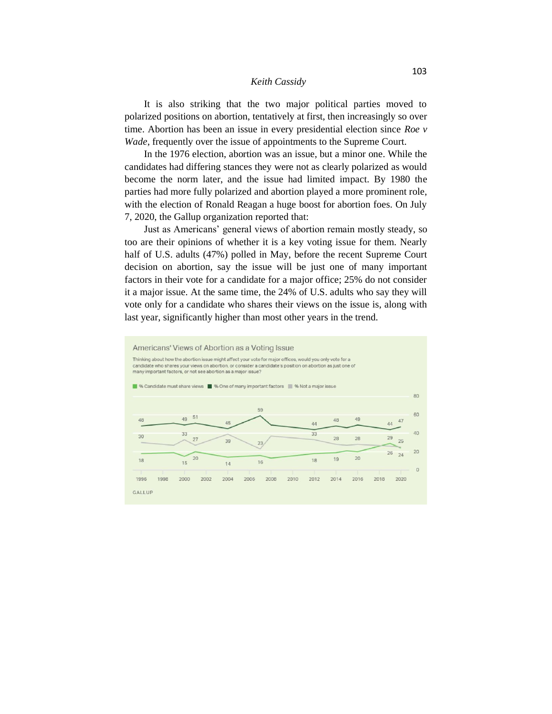It is also striking that the two major political parties moved to polarized positions on abortion, tentatively at first, then increasingly so over time. Abortion has been an issue in every presidential election since *Roe v Wade*, frequently over the issue of appointments to the Supreme Court.

In the 1976 election, abortion was an issue, but a minor one. While the candidates had differing stances they were not as clearly polarized as would become the norm later, and the issue had limited impact. By 1980 the parties had more fully polarized and abortion played a more prominent role, with the election of Ronald Reagan a huge boost for abortion foes. On July 7, 2020, the Gallup organization reported that:

Just as Americans' general views of abortion remain mostly steady, so too are their opinions of whether it is a key voting issue for them. Nearly half of U.S. adults (47%) polled in May, before the recent Supreme Court decision on abortion, say the issue will be just one of many important factors in their vote for a candidate for a major office; 25% do not consider it a major issue. At the same time, the 24% of U.S. adults who say they will vote only for a candidate who shares their views on the issue is, along with last year, significantly higher than most other years in the trend.

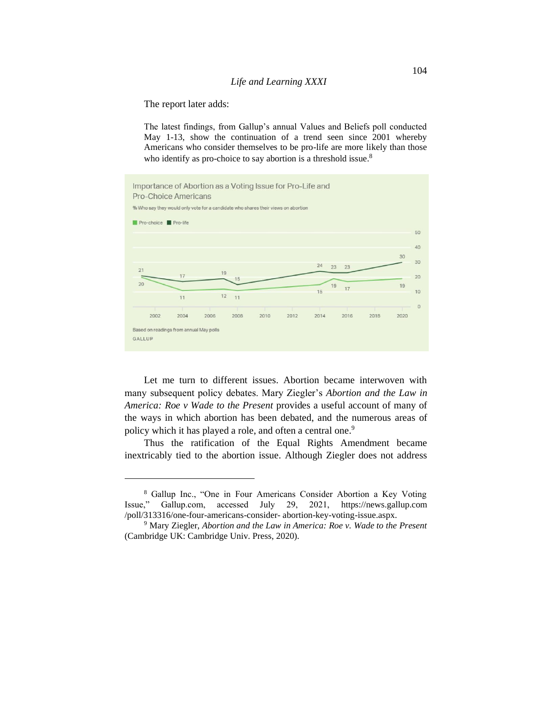The report later adds:

The latest findings, from Gallup's annual Values and Beliefs poll conducted May 1-13, show the continuation of a trend seen since 2001 whereby Americans who consider themselves to be pro-life are more likely than those who identify as pro-choice to say abortion is a threshold issue.<sup>8</sup>



Let me turn to different issues. Abortion became interwoven with many subsequent policy debates. Mary Ziegler's *Abortion and the Law in America: Roe v Wade to the Present* provides a useful account of many of the ways in which abortion has been debated, and the numerous areas of policy which it has played a role, and often a central one.<sup>9</sup>

Thus the ratification of the Equal Rights Amendment became inextricably tied to the abortion issue. Although Ziegler does not address

<sup>8</sup> Gallup Inc., "One in Four Americans Consider Abortion a Key Voting Issue," Gallup.com, accessed July 29, 2021, [https://news.gallup.com](https://news.gallup.com/) /poll/313316/one-four-americans-consider- abortion-key-voting-issue.aspx.

<sup>9</sup> Mary Ziegler, *Abortion and the Law in America: Roe v. Wade to the Present*  (Cambridge UK: Cambridge Univ. Press, 2020).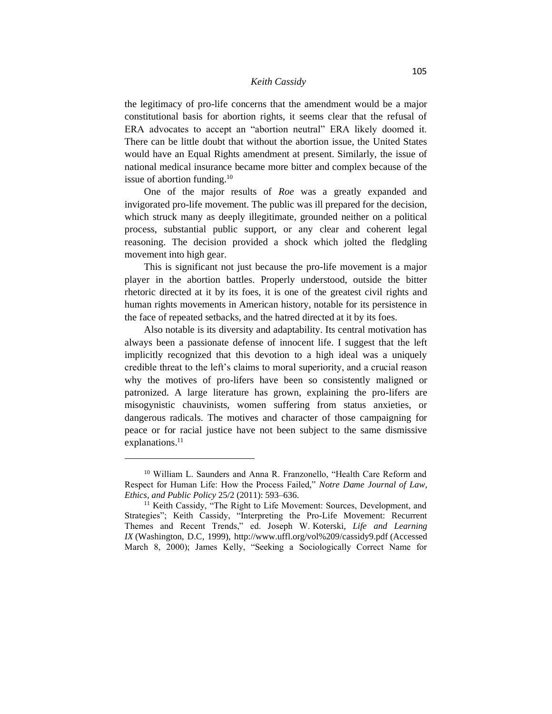the legitimacy of pro-life concerns that the amendment would be a major constitutional basis for abortion rights, it seems clear that the refusal of ERA advocates to accept an "abortion neutral" ERA likely doomed it. There can be little doubt that without the abortion issue, the United States would have an Equal Rights amendment at present. Similarly, the issue of national medical insurance became more bitter and complex because of the issue of abortion funding.<sup>10</sup>

One of the major results of *Roe* was a greatly expanded and invigorated pro-life movement. The public was ill prepared for the decision, which struck many as deeply illegitimate, grounded neither on a political process, substantial public support, or any clear and coherent legal reasoning. The decision provided a shock which jolted the fledgling movement into high gear.

This is significant not just because the pro-life movement is a major player in the abortion battles. Properly understood, outside the bitter rhetoric directed at it by its foes, it is one of the greatest civil rights and human rights movements in American history, notable for its persistence in the face of repeated setbacks, and the hatred directed at it by its foes.

Also notable is its diversity and adaptability. Its central motivation has always been a passionate defense of innocent life. I suggest that the left implicitly recognized that this devotion to a high ideal was a uniquely credible threat to the left's claims to moral superiority, and a crucial reason why the motives of pro-lifers have been so consistently maligned or patronized. A large literature has grown, explaining the pro-lifers are misogynistic chauvinists, women suffering from status anxieties, or dangerous radicals. The motives and character of those campaigning for peace or for racial justice have not been subject to the same dismissive explanations.<sup>11</sup>

<sup>&</sup>lt;sup>10</sup> William L. Saunders and Anna R. Franzonello, "Health Care Reform and Respect for Human Life: How the Process Failed," *Notre Dame Journal of Law, Ethics, and Public Policy* 25/2 (2011): 593–636.

<sup>&</sup>lt;sup>11</sup> Keith Cassidy, "The Right to Life Movement: Sources, Development, and Strategies"; Keith Cassidy, "Interpreting the Pro-Life Movement: Recurrent Themes and Recent Trends," ed. Joseph W. Koterski, *Life and Learning IX* (Washington, D.C, 1999),<http://www.uffl.org/vol%209/cassidy9.pdf> (Accessed March 8, 2000); James Kelly, "Seeking a Sociologically Correct Name for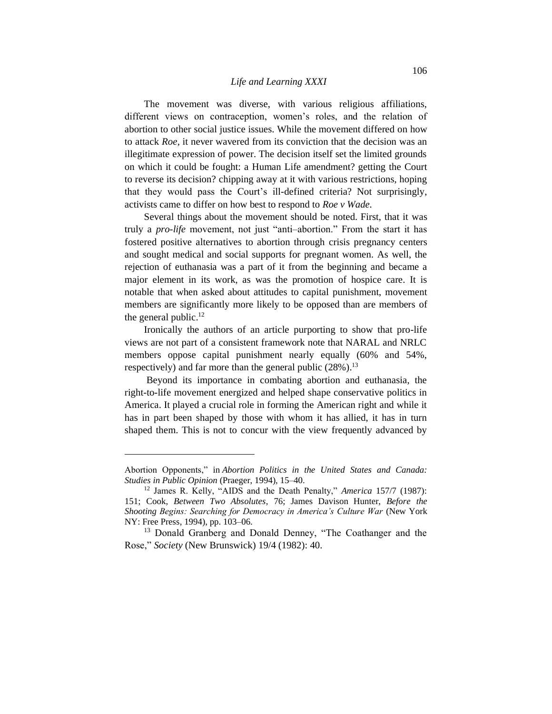The movement was diverse, with various religious affiliations, different views on contraception, women's roles, and the relation of abortion to other social justice issues. While the movement differed on how to attack *Roe,* it never wavered from its conviction that the decision was an illegitimate expression of power. The decision itself set the limited grounds on which it could be fought: a Human Life amendment? getting the Court to reverse its decision? chipping away at it with various restrictions, hoping that they would pass the Court's ill-defined criteria? Not surprisingly, activists came to differ on how best to respond to *Roe v Wade.*

Several things about the movement should be noted. First, that it was truly a *pro-life* movement, not just "anti–abortion." From the start it has fostered positive alternatives to abortion through crisis pregnancy centers and sought medical and social supports for pregnant women. As well, the rejection of euthanasia was a part of it from the beginning and became a major element in its work, as was the promotion of hospice care. It is notable that when asked about attitudes to capital punishment, movement members are significantly more likely to be opposed than are members of the general public.<sup>12</sup>

Ironically the authors of an article purporting to show that pro-life views are not part of a consistent framework note that NARAL and NRLC members oppose capital punishment nearly equally (60% and 54%, respectively) and far more than the general public (28%).<sup>13</sup>

Beyond its importance in combating abortion and euthanasia, the right-to-life movement energized and helped shape conservative politics in America. It played a crucial role in forming the American right and while it has in part been shaped by those with whom it has allied, it has in turn shaped them. This is not to concur with the view frequently advanced by

Abortion Opponents," in *Abortion Politics in the United States and Canada: Studies in Public Opinion* (Praeger, 1994), 15–40.

<sup>12</sup> James R. Kelly, "AIDS and the Death Penalty," *America* 157/7 (1987): 151; Cook, *Between Two Absolutes*, 76; James Davison Hunter, *Before the Shooting Begins: Searching for Democracy in America's Culture War* (New York NY: Free Press, 1994), pp. 103–06.

<sup>&</sup>lt;sup>13</sup> Donald Granberg and Donald Denney, "The Coathanger and the Rose," *Society* (New Brunswick) 19/4 (1982): 40.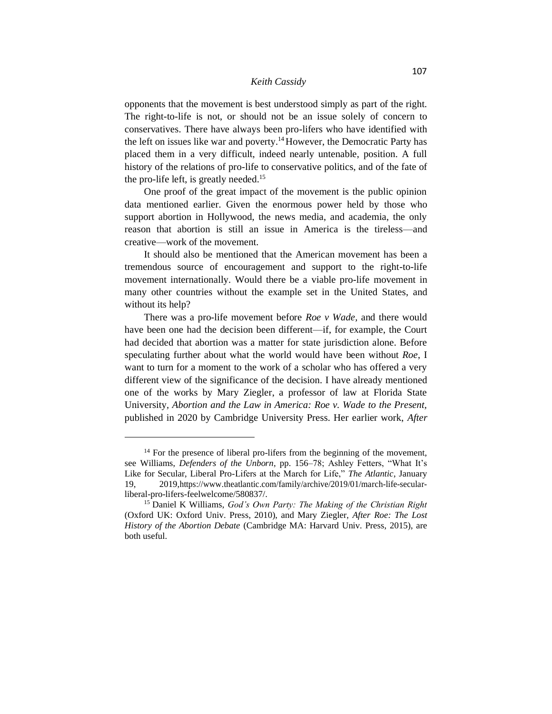opponents that the movement is best understood simply as part of the right. The right-to-life is not, or should not be an issue solely of concern to conservatives. There have always been pro-lifers who have identified with the left on issues like war and poverty.<sup>14</sup>However, the Democratic Party has placed them in a very difficult, indeed nearly untenable, position. A full history of the relations of pro-life to conservative politics, and of the fate of the pro-life left, is greatly needed.<sup>15</sup>

One proof of the great impact of the movement is the public opinion data mentioned earlier. Given the enormous power held by those who support abortion in Hollywood, the news media, and academia, the only reason that abortion is still an issue in America is the tireless—and creative—work of the movement.

It should also be mentioned that the American movement has been a tremendous source of encouragement and support to the right-to-life movement internationally. Would there be a viable pro-life movement in many other countries without the example set in the United States, and without its help?

There was a pro-life movement before *Roe v Wade,* and there would have been one had the decision been different—if, for example, the Court had decided that abortion was a matter for state jurisdiction alone. Before speculating further about what the world would have been without *Roe*, I want to turn for a moment to the work of a scholar who has offered a very different view of the significance of the decision. I have already mentioned one of the works by Mary Ziegler, a professor of law at Florida State University*, Abortion and the Law in America: Roe v. Wade to the Present,*  published in 2020 by Cambridge University Press. Her earlier work, *After* 

 $14$  For the presence of liberal pro-lifers from the beginning of the movement, see Williams, *Defenders of the Unborn*, pp. 156–78; Ashley Fetters, "What It's Like for Secular, Liberal Pro-Lifers at the March for Life," *The Atlantic*, January 19, 2019,https://www.theatlantic.com/family/archive/2019/01/march-life-secularliberal-pro-lifers-feelwelcome/580837/.

<sup>15</sup> Daniel K Williams, *God's Own Party: The Making of the Christian Right* (Oxford UK: Oxford Univ. Press, 2010), and Mary Ziegler, *After Roe: The Lost History of the Abortion Debate* (Cambridge MA: Harvard Univ. Press, 2015), are both useful.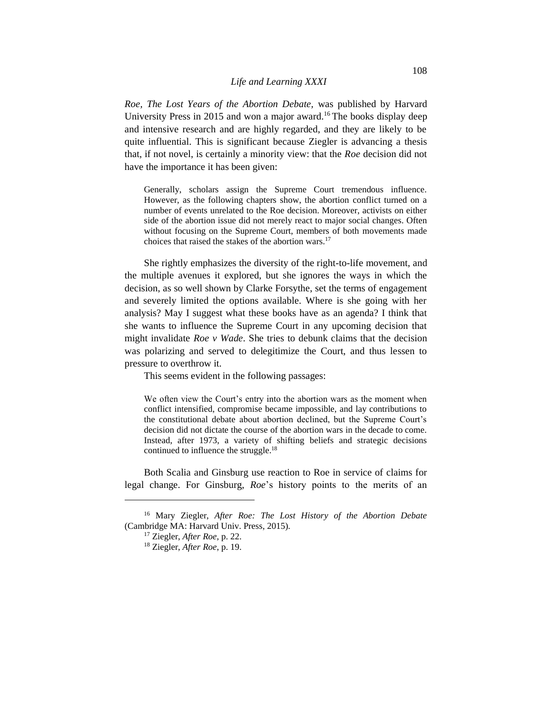*Roe, The Lost Years of the Abortion Debate,* was published by Harvard University Press in 2015 and won a major award.<sup>16</sup> The books display deep and intensive research and are highly regarded, and they are likely to be quite influential. This is significant because Ziegler is advancing a thesis that, if not novel, is certainly a minority view: that the *Roe* decision did not have the importance it has been given:

Generally, scholars assign the Supreme Court tremendous influence. However, as the following chapters show, the abortion conflict turned on a number of events unrelated to the Roe decision. Moreover, activists on either side of the abortion issue did not merely react to major social changes. Often without focusing on the Supreme Court, members of both movements made choices that raised the stakes of the abortion wars.<sup>17</sup>

She rightly emphasizes the diversity of the right-to-life movement, and the multiple avenues it explored, but she ignores the ways in which the decision, as so well shown by Clarke Forsythe, set the terms of engagement and severely limited the options available. Where is she going with her analysis? May I suggest what these books have as an agenda? I think that she wants to influence the Supreme Court in any upcoming decision that might invalidate *Roe v Wade*. She tries to debunk claims that the decision was polarizing and served to delegitimize the Court, and thus lessen to pressure to overthrow it.

This seems evident in the following passages:

We often view the Court's entry into the abortion wars as the moment when conflict intensified, compromise became impossible, and lay contributions to the constitutional debate about abortion declined, but the Supreme Court's decision did not dictate the course of the abortion wars in the decade to come. Instead, after 1973, a variety of shifting beliefs and strategic decisions continued to influence the struggle.<sup>18</sup>

Both Scalia and Ginsburg use reaction to Roe in service of claims for legal change. For Ginsburg, *Roe*'s history points to the merits of an

<sup>16</sup> Mary Ziegler, *After Roe: The Lost History of the Abortion Debate* (Cambridge MA: Harvard Univ. Press, 2015).

<sup>17</sup> Ziegler, *After Roe*, p. 22.

<sup>18</sup> Ziegler, *After Roe*, p. 19.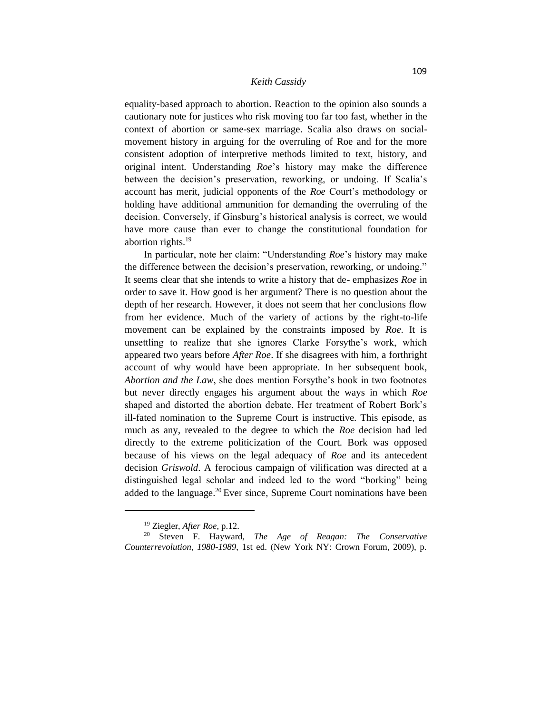equality-based approach to abortion. Reaction to the opinion also sounds a cautionary note for justices who risk moving too far too fast, whether in the context of abortion or same-sex marriage. Scalia also draws on socialmovement history in arguing for the overruling of Roe and for the more consistent adoption of interpretive methods limited to text, history, and original intent. Understanding *Roe*'s history may make the difference between the decision's preservation, reworking, or undoing. If Scalia's account has merit, judicial opponents of the *Roe* Court's methodology or holding have additional ammunition for demanding the overruling of the decision. Conversely, if Ginsburg's historical analysis is correct, we would have more cause than ever to change the constitutional foundation for abortion rights.<sup>19</sup>

In particular, note her claim: "Understanding *Roe*'s history may make the difference between the decision's preservation, reworking, or undoing." It seems clear that she intends to write a history that de- emphasizes *Roe* in order to save it. How good is her argument? There is no question about the depth of her research. However, it does not seem that her conclusions flow from her evidence. Much of the variety of actions by the right-to-life movement can be explained by the constraints imposed by *Roe.* It is unsettling to realize that she ignores Clarke Forsythe's work, which appeared two years before *After Roe*. If she disagrees with him, a forthright account of why would have been appropriate. In her subsequent book, *Abortion and the Law*, she does mention Forsythe's book in two footnotes but never directly engages his argument about the ways in which *Roe*  shaped and distorted the abortion debate. Her treatment of Robert Bork's ill-fated nomination to the Supreme Court is instructive. This episode, as much as any, revealed to the degree to which the *Roe* decision had led directly to the extreme politicization of the Court. Bork was opposed because of his views on the legal adequacy of *Roe* and its antecedent decision *Griswold*. A ferocious campaign of vilification was directed at a distinguished legal scholar and indeed led to the word "borking" being added to the language.<sup>20</sup> Ever since, Supreme Court nominations have been

<sup>19</sup> Ziegler, *After Roe*, p.12.

<sup>20</sup> Steven F. Hayward, *The Age of Reagan: The Conservative Counterrevolution, 1980-1989*, 1st ed. (New York NY: Crown Forum, 2009), p.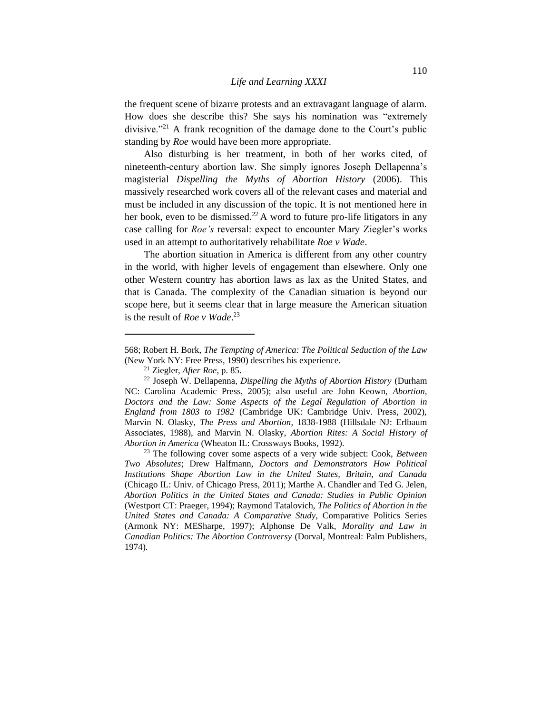the frequent scene of bizarre protests and an extravagant language of alarm. How does she describe this? She says his nomination was "extremely divisive."<sup>21</sup> A frank recognition of the damage done to the Court's public standing by *Roe* would have been more appropriate.

Also disturbing is her treatment, in both of her works cited, of nineteenth-century abortion law. She simply ignores Joseph Dellapenna's magisterial *Dispelling the Myths of Abortion History* (2006). This massively researched work covers all of the relevant cases and material and must be included in any discussion of the topic. It is not mentioned here in her book, even to be dismissed.<sup>22</sup> A word to future pro-life litigators in any case calling for *Roe's* reversal: expect to encounter Mary Ziegler's works used in an attempt to authoritatively rehabilitate *Roe v Wade*.

The abortion situation in America is different from any other country in the world, with higher levels of engagement than elsewhere. Only one other Western country has abortion laws as lax as the United States, and that is Canada. The complexity of the Canadian situation is beyond our scope here, but it seems clear that in large measure the American situation is the result of *Roe v Wade*. 23

<sup>568;</sup> Robert H. Bork, *The Tempting of America: The Political Seduction of the Law*  (New York NY: Free Press, 1990) describes his experience.

<sup>21</sup> Ziegler, *After Roe*, p. 85.

<sup>22</sup> Joseph W. Dellapenna, *Dispelling the Myths of Abortion History* (Durham NC: Carolina Academic Press, 2005); also useful are John Keown, *Abortion, Doctors and the Law: Some Aspects of the Legal Regulation of Abortion in England from 1803 to 1982* (Cambridge UK: Cambridge Univ. Press, 2002), Marvin N. Olasky, *The Press and Abortion*, 1838-1988 (Hillsdale NJ: Erlbaum Associates, 1988), and Marvin N. Olasky, *Abortion Rites: A Social History of Abortion in America* (Wheaton IL: Crossways Books, 1992).

<sup>23</sup> The following cover some aspects of a very wide subject: Cook, *Between Two Absolutes*; Drew Halfmann, *Doctors and Demonstrators How Political Institutions Shape Abortion Law in the United States, Britain, and Canada* (Chicago IL: Univ. of Chicago Press, 2011); Marthe A. Chandler and Ted G. Jelen, *Abortion Politics in the United States and Canada: Studies in Public Opinion* (Westport CT: Praeger, 1994); Raymond Tatalovich, *The Politics of Abortion in the United States and Canada: A Comparative Study,* Comparative Politics Series (Armonk NY: MESharpe, 1997); Alphonse De Valk, *Morality and Law in Canadian Politics: The Abortion Controversy* (Dorval, Montreal: Palm Publishers, 1974).